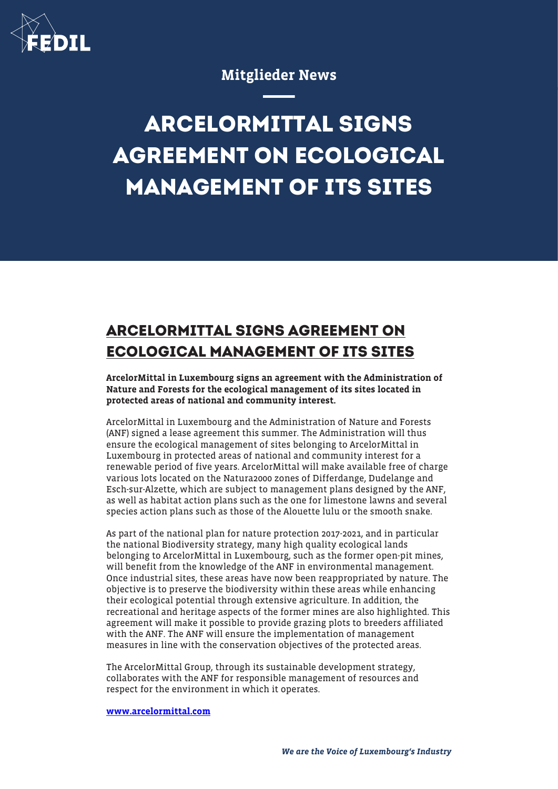

## Mitglieder News

## **ARCELORMITTAL SIGNS AGREEMENT ON ECOLOGICAL MANAGEMENT OF ITS SITES**

## **ARCELORMITTAL SIGNS AGREEMENT ON ECOLOGICAL MANAGEMENT OF ITS SITES**

ArcelorMittal in Luxembourg signs an agreement with the Administration of Nature and Forests for the ecological management of its sites located in protected areas of national and community interest.

ArcelorMittal in Luxembourg and the Administration of Nature and Forests (ANF) signed a lease agreement this summer. The Administration will thus ensure the ecological management of sites belonging to ArcelorMittal in Luxembourg in protected areas of national and community interest for a renewable period of five years. ArcelorMittal will make available free of charge various lots located on the Natura2000 zones of Differdange, Dudelange and Esch-sur-Alzette, which are subject to management plans designed by the ANF, as well as habitat action plans such as the one for limestone lawns and several species action plans such as those of the Alouette lulu or the smooth snake.

As part of the national plan for nature protection 2017-2021, and in particular the national Biodiversity strategy, many high quality ecological lands belonging to ArcelorMittal in Luxembourg, such as the former open-pit mines, will benefit from the knowledge of the ANF in environmental management. Once industrial sites, these areas have now been reappropriated by nature. The objective is to preserve the biodiversity within these areas while enhancing their ecological potential through extensive agriculture. In addition, the recreational and heritage aspects of the former mines are also highlighted. This agreement will make it possible to provide grazing plots to breeders affiliated with the ANF. The ANF will ensure the implementation of management measures in line with the conservation objectives of the protected areas.

The ArcelorMittal Group, through its sustainable development strategy, collaborates with the ANF for responsible management of resources and respect for the environment in which it operates.

[www.arcelormittal.com](http://www.arcelormittal.com)